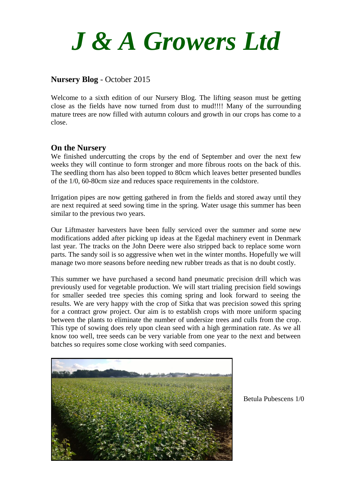

#### **Nursery Blog** - October 2015

Welcome to a sixth edition of our Nursery Blog. The lifting season must be getting close as the fields have now turned from dust to mud!!!! Many of the surrounding mature trees are now filled with autumn colours and growth in our crops has come to a close.

#### **On the Nursery**

We finished undercutting the crops by the end of September and over the next few weeks they will continue to form stronger and more fibrous roots on the back of this. The seedling thorn has also been topped to 80cm which leaves better presented bundles of the 1/0, 60-80cm size and reduces space requirements in the coldstore.

Irrigation pipes are now getting gathered in from the fields and stored away until they are next required at seed sowing time in the spring. Water usage this summer has been similar to the previous two years.

Our Liftmaster harvesters have been fully serviced over the summer and some new modifications added after picking up ideas at the Egedal machinery event in Denmark last year. The tracks on the John Deere were also stripped back to replace some worn parts. The sandy soil is so aggressive when wet in the winter months. Hopefully we will manage two more seasons before needing new rubber treads as that is no doubt costly.

This summer we have purchased a second hand pneumatic precision drill which was previously used for vegetable production. We will start trialing precision field sowings for smaller seeded tree species this coming spring and look forward to seeing the results. We are very happy with the crop of Sitka that was precision sowed this spring for a contract grow project. Our aim is to establish crops with more uniform spacing between the plants to eliminate the number of undersize trees and culls from the crop. This type of sowing does rely upon clean seed with a high germination rate. As we all know too well, tree seeds can be very variable from one year to the next and between batches so requires some close working with seed companies.



Betula Pubescens 1/0